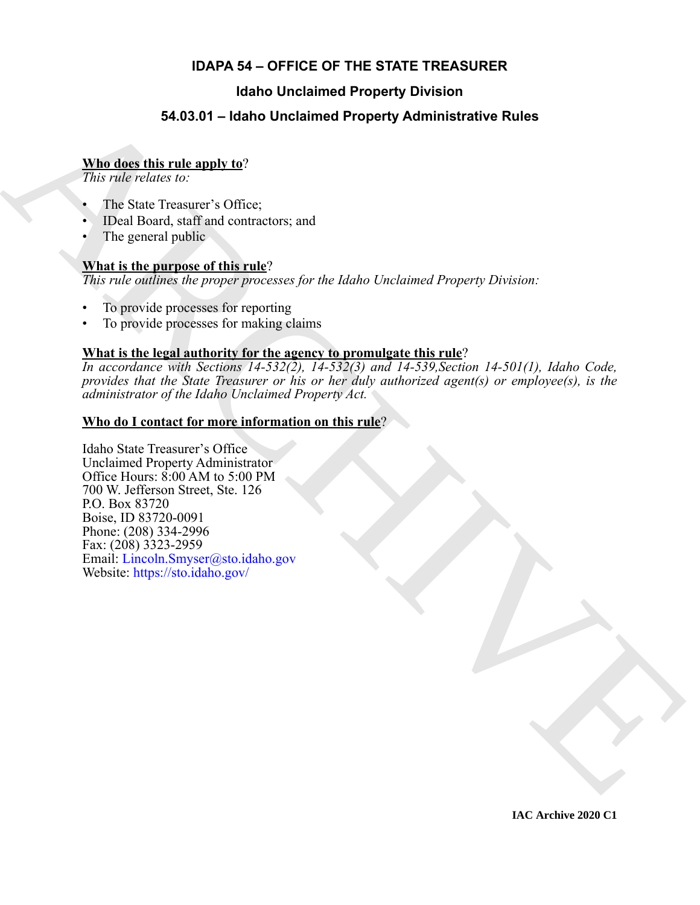## **IDAPA 54 – OFFICE OF THE STATE TREASURER**

## **Idaho Unclaimed Property Division**

## **54.03.01 – Idaho Unclaimed Property Administrative Rules**

### **Who does this rule apply to**?

*This rule relates to:* 

- The State Treasurer's Office:
- IDeal Board, staff and contractors; and
- The general public

## **What is the purpose of this rule**?

*This rule outlines the proper processes for the Idaho Unclaimed Property Division:*

- To provide processes for reporting
- To provide processes for making claims

## **What is the legal authority for the agency to promulgate this rule**?

*In accordance with Sections 14-532(2), 14-532(3) and 14-539,Section 14-501(1), Idaho Code, provides that the State Treasurer or his or her duly authorized agent(s) or employee(s), is the administrator of the Idaho Unclaimed Property Act.*

### **Who do I contact for more information on this rule**?

**54.03.01 – Idaho Uncilaimed Property Administrative Rules<br>
Nine diese this rule and v no?**<br>
This raise Toware <sup>2</sup>, Office;<br>
The State Toware <sup>2</sup>, Office;<br>
The peace is made contractors, and<br>
The peace is the intermediate Idaho State Treasurer's Office Unclaimed Property Administrator Office Hours: 8:00 AM to 5:00 PM 700 W. Jefferson Street, Ste. 126 P.O. Box 83720 Boise, ID 83720-0091 Phone: (208) 334-2996 Fax: (208) 3323-2959 Email: Lincoln.Smyser@sto.idaho.gov Website: https://sto.idaho.gov/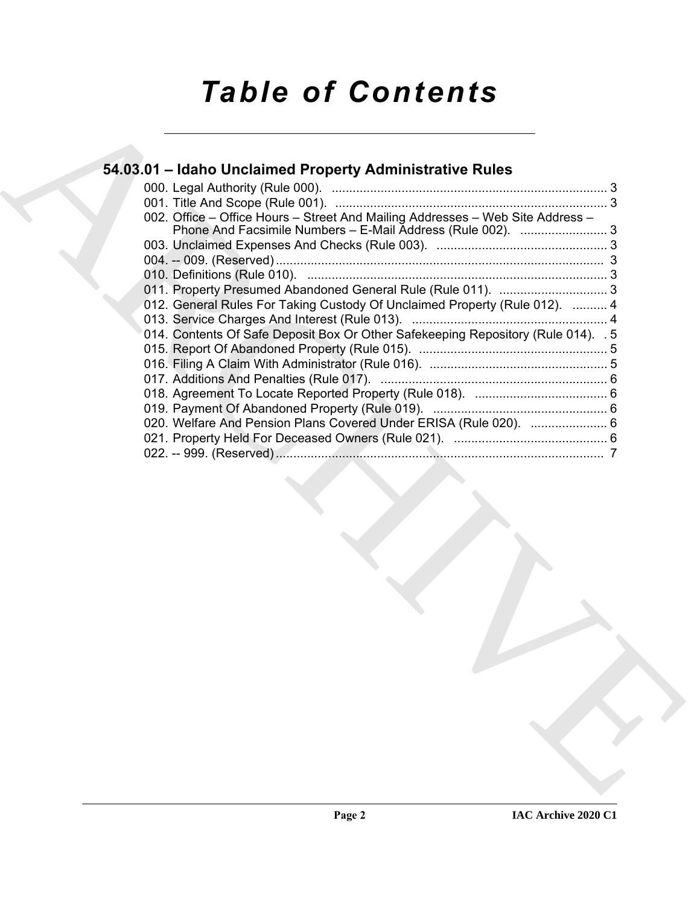# *Table of Contents*

## **54.03.01 – Idaho Unclaimed Property Administrative Rules**<br>
000. Tap And Scope (Rule 001).<br>
000. Tap And Scope (Rule 001).<br>
020. Tap And Scope (Rule 001).<br>
020. Tap And Scope (Rule 001).<br>
030. Tap And Scope (Rule 002).<br>
0 **54.03.01 – Idaho Unclaimed Property Administrative Rules** 000. Legal Authority (Rule 000). ............................................................................... 3 001. Title And Scope (Rule 001). .............................................................................. 3 002. Office – Office Hours – Street And Mailing Addresses – Web Site Address – Phone And Facsimile Numbers – E-Mail Address (Rule 002). ......................... 3 003. Unclaimed Expenses And Checks (Rule 003). ................................................. 3 004. -- 009. (Reserved) .............................................................................................. 3 010. Definitions (Rule 010). ...................................................................................... 3 011. Property Presumed Abandoned General Rule (Rule 011). ............................... 3 012. General Rules For Taking Custody Of Unclaimed Property (Rule 012). .......... 4 013. Service Charges And Interest (Rule 013). ........................................................ 4 014. Contents Of Safe Deposit Box Or Other Safekeeping Repository (Rule 014). . 5 015. Report Of Abandoned Property (Rule 015). ...................................................... 5 016. Filing A Claim With Administrator (Rule 016). ................................................... 5 017. Additions And Penalties (Rule 017). ................................................................. 6 018. Agreement To Locate Reported Property (Rule 018). ...................................... 6 019. Payment Of Abandoned Property (Rule 019). .................................................. 6 020. Welfare And Pension Plans Covered Under ERISA (Rule 020). ...................... 6 021. Property Held For Deceased Owners (Rule 021). ............................................ 6 022. -- 999. (Reserved) .............................................................................................. 7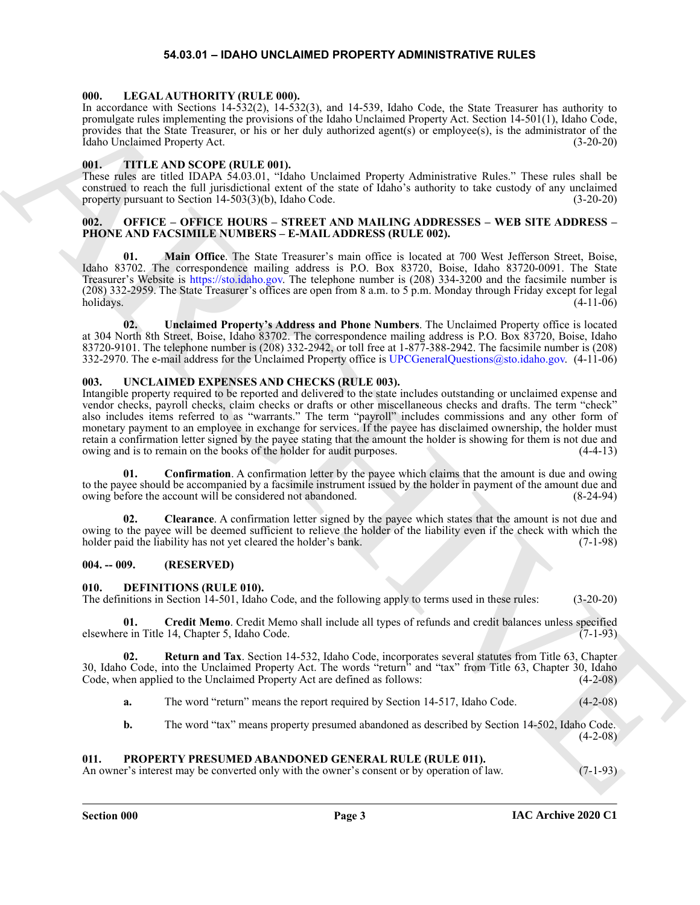#### **54.03.01 – IDAHO UNCLAIMED PROPERTY ADMINISTRATIVE RULES**

#### <span id="page-2-11"></span><span id="page-2-1"></span><span id="page-2-0"></span>**000. LEGAL AUTHORITY (RULE 000).**

In accordance with Sections 14-532(2), 14-532(3), and 14-539, Idaho Code, the State Treasurer has authority to promulgate rules implementing the provisions of the Idaho Unclaimed Property Act. Section 14-501(1), Idaho Code, provides that the State Treasurer, or his or her duly authorized agent(s) or employee(s), is the administrator of the Idaho Unclaimed Property Act. (3-20-20)

#### <span id="page-2-14"></span><span id="page-2-2"></span>**001. TITLE AND SCOPE (RULE 001).**

These rules are titled IDAPA 54.03.01, "Idaho Unclaimed Property Administrative Rules." These rules shall be construed to reach the full jurisdictional extent of the state of Idaho's authority to take custody of any unclaimed<br>property pursuant to Section 14-503(3)(b), Idaho Code. (3-20-20) property pursuant to Section  $14-503(3)(b)$ , Idaho Code.

#### <span id="page-2-12"></span><span id="page-2-3"></span>**002. OFFICE – OFFICE HOURS – STREET AND MAILING ADDRESSES – WEB SITE ADDRESS – PHONE AND FACSIMILE NUMBERS – E-MAIL ADDRESS (RULE 002).**

**01. Main Office**. The State Treasurer's main office is located at 700 West Jefferson Street, Boise, Idaho 83702. The correspondence mailing address is P.O. Box 83720, Boise, Idaho 83720-0091. The State Treasurer's Website is https://sto.idaho.gov. The telephone number is (208) 334-3200 and the facsimile number is (208) 332-2959. The State Treasurer's offices are open from 8 a.m. to 5 p.m. Monday through Friday except for legal holidays. (4-11-06)

**02. Unclaimed Property's Address and Phone Numbers**. The Unclaimed Property office is located at 304 North 8th Street, Boise, Idaho 83702. The correspondence mailing address is P.O. Box 83720, Boise, Idaho 83720-9101. The telephone number is (208) 332-2942, or toll free at 1-877-388-2942. The facsimile number is (208) 332-2970. The e-mail address for the Unclaimed Property office is UPCGeneralQuestions@sto.idaho.gov. (4-11-06)

#### <span id="page-2-15"></span><span id="page-2-4"></span>**003. UNCLAIMED EXPENSES AND CHECKS (RULE 003).**

La excession sui Society et 1492/23, 1493/23, and 1492/23, bis Color de Los Constructions and the society of 1492, and 1492, and 1492, and 1492 and 1492 and 1492 and 1492 and 1492 and 1492 and 1492 and 1492 and 1492 and Intangible property required to be reported and delivered to the state includes outstanding or unclaimed expense and vendor checks, payroll checks, claim checks or drafts or other miscellaneous checks and drafts. The term "check" also includes items referred to as "warrants." The term "payroll" includes commissions and any other form of monetary payment to an employee in exchange for services. If the payee has disclaimed ownership, the holder must retain a confirmation letter signed by the payee stating that the amount the holder is showing for them is not due and owing and is to remain on the books of the holder for audit purposes. (4-4-13) owing and is to remain on the books of the holder for audit purposes.

<span id="page-2-17"></span>**01.** Confirmation. A confirmation letter by the payee which claims that the amount is due and owing to the payee should be accompanied by a facsimile instrument issued by the holder in payment of the amount due and owing before the account will be considered not abandoned. (8-24-94)

<span id="page-2-16"></span>**02. Clearance**. A confirmation letter signed by the payee which states that the amount is not due and owing to the payee will be deemed sufficient to relieve the holder of the liability even if the check with which the holder paid the liability has not yet cleared the holder's bank. (7-1-98)

#### <span id="page-2-5"></span>**004. -- 009. (RESERVED)**

#### <span id="page-2-8"></span><span id="page-2-6"></span>**010. DEFINITIONS (RULE 010).**

The definitions in Section 14-501, Idaho Code, and the following apply to terms used in these rules: (3-20-20)

<span id="page-2-9"></span>**01. Credit Memo**. Credit Memo shall include all types of refunds and credit balances unless specified elsewhere in Title 14, Chapter 5, Idaho Code. (7-1-93)

**02. Return and Tax**. Section 14-532, Idaho Code, incorporates several statutes from Title 63, Chapter 30, Idaho Code, into the Unclaimed Property Act. The words "return" and "tax" from Title 63, Chapter 30, Idaho Code, when applied to the Unclaimed Property Act are defined as follows: (4-2-08) Code, when applied to the Unclaimed Property Act are defined as follows:

- <span id="page-2-10"></span>**a.** The word "return" means the report required by Section 14-517, Idaho Code.  $(4-2-08)$
- <span id="page-2-13"></span>**b.** The word "tax" means property presumed abandoned as described by Section 14-502, Idaho Code.  $(4-2-08)$

#### <span id="page-2-7"></span>**011. PROPERTY PRESUMED ABANDONED GENERAL RULE (RULE 011).**

An owner's interest may be converted only with the owner's consent or by operation of law. (7-1-93)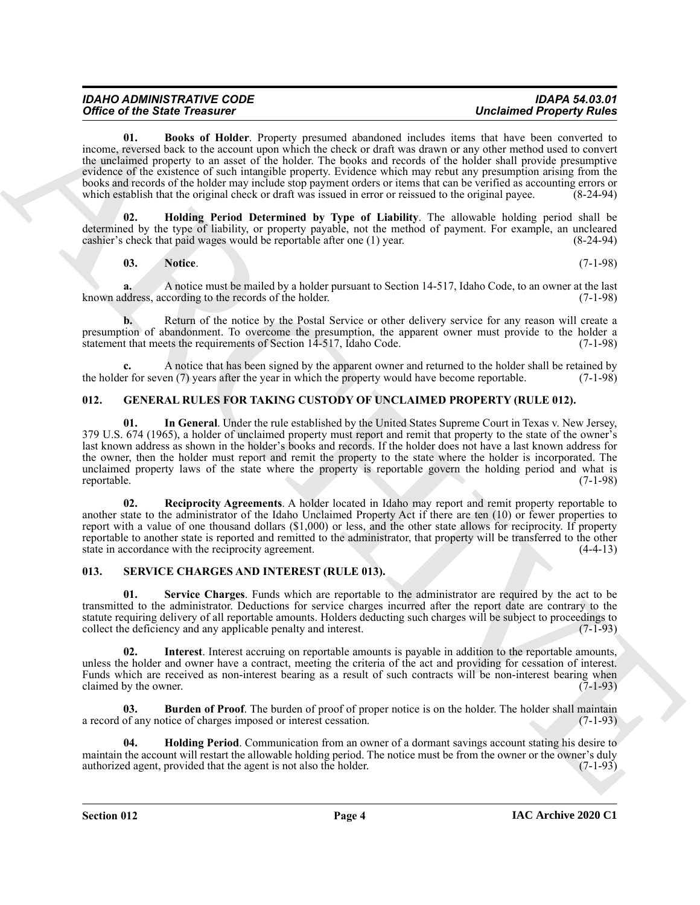| <b>IDAHO ADMINISTRATIVE CODE</b>     | IDAPA 54.03.01                  |
|--------------------------------------|---------------------------------|
| <b>Office of the State Treasurer</b> | <b>Unclaimed Property Rules</b> |

<span id="page-3-5"></span>**01. Books of Holder**. Property presumed abandoned includes items that have been converted to income, reversed back to the account upon which the check or draft was drawn or any other method used to convert the unclaimed property to an asset of the holder. The books and records of the holder shall provide presumptive evidence of the existence of such intangible property. Evidence which may rebut any presumption arising from the books and records of the holder may include stop payment orders or items that can be verified as accounting errors or which establish that the original check or draft was issued in error or reissued to the original payee.  $(8-24-94)$ 

**02. Holding Period Determined by Type of Liability**. The allowable holding period shall be determined by the type of liability, or property payable, not the method of payment. For example, an uncleared cashier's check that paid wages would be reportable after one (1) year. (8-24-94)

<span id="page-3-7"></span><span id="page-3-6"></span>**03. Notice**. (7-1-98)

**a.** A notice must be mailed by a holder pursuant to Section 14-517, Idaho Code, to an owner at the last known address, according to the records of the holder. (7-1-98)

**b.** Return of the notice by the Postal Service or other delivery service for any reason will create a presumption of abandonment. To overcome the presumption, the apparent owner must provide to the holder a statement that meets the requirements of Section 14-517, Idaho Code. (7-1-98)

**c.** A notice that has been signed by the apparent owner and returned to the holder shall be retained by the retained by the apparent owner and returned to the holder shall be retained by the retained by the retained by th the holder for seven  $(7)$  years after the year in which the property would have become reportable.

#### <span id="page-3-3"></span><span id="page-3-2"></span><span id="page-3-0"></span>**012. GENERAL RULES FOR TAKING CUSTODY OF UNCLAIMED PROPERTY (RULE 012).**

Office of the Sine Property Roll of the state of the state of the state of the state of the state of the state of the state of the state of the state of the state of the state of the state of the state of the state of the **01. In General**. Under the rule established by the United States Supreme Court in Texas v. New Jersey, 379 U.S. 674 (1965), a holder of unclaimed property must report and remit that property to the state of the owner's last known address as shown in the holder's books and records. If the holder does not have a last known address for the owner, then the holder must report and remit the property to the state where the holder is incorporated. The unclaimed property laws of the state where the property is reportable govern the holding period and what is reportable. (7-1-98) reportable. (7-1-98)

<span id="page-3-4"></span>**02. Reciprocity Agreements**. A holder located in Idaho may report and remit property reportable to another state to the administrator of the Idaho Unclaimed Property Act if there are ten (10) or fewer properties to report with a value of one thousand dollars (\$1,000) or less, and the other state allows for reciprocity. If property reportable to another state is reported and remitted to the administrator, that property will be transferred to the other state in accordance with the reciprocity agreement. (4-4-13)

#### <span id="page-3-8"></span><span id="page-3-1"></span>**013. SERVICE CHARGES AND INTEREST (RULE 013).**

<span id="page-3-12"></span>**01. Service Charges**. Funds which are reportable to the administrator are required by the act to be transmitted to the administrator. Deductions for service charges incurred after the report date are contrary to the statute requiring delivery of all reportable amounts. Holders deducting such charges will be subject to proceedings to collect the deficiency and any applicable penalty and interest. (7-1-93) collect the deficiency and any applicable penalty and interest.

<span id="page-3-11"></span>**02. Interest**. Interest accruing on reportable amounts is payable in addition to the reportable amounts, unless the holder and owner have a contract, meeting the criteria of the act and providing for cessation of interest. Funds which are received as non-interest bearing as a result of such contracts will be non-interest bearing when claimed by the owner. (7-1-93) claimed by the owner.

<span id="page-3-9"></span>**03. Burden of Proof**. The burden of proof of proper notice is on the holder. The holder shall maintain a record of any notice of charges imposed or interest cessation. (7-1-93)

<span id="page-3-10"></span>**04. Holding Period**. Communication from an owner of a dormant savings account stating his desire to maintain the account will restart the allowable holding period. The notice must be from the owner or the owner's duly authorized agent, provided that the agent is not also the holder. (7-1-93)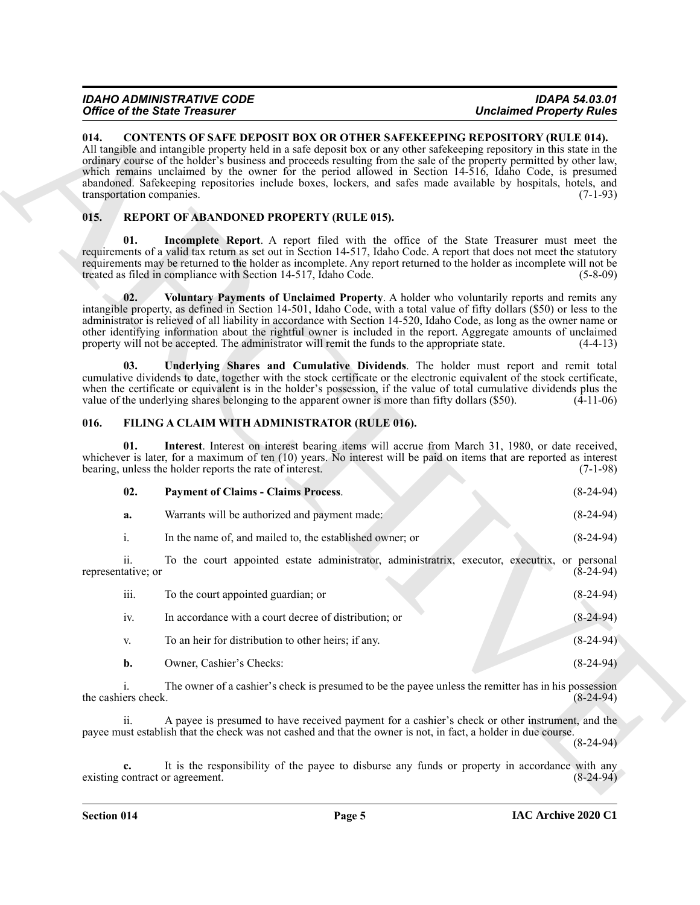#### <span id="page-4-3"></span><span id="page-4-0"></span>**014. CONTENTS OF SAFE DEPOSIT BOX OR OTHER SAFEKEEPING REPOSITORY (RULE 014).**

#### <span id="page-4-10"></span><span id="page-4-8"></span><span id="page-4-7"></span><span id="page-4-1"></span>**015. REPORT OF ABANDONED PROPERTY (RULE 015).**

#### <span id="page-4-9"></span><span id="page-4-6"></span><span id="page-4-5"></span><span id="page-4-4"></span><span id="page-4-2"></span>**016. FILING A CLAIM WITH ADMINISTRATOR (RULE 016).**

|                                       | <b>Office of the State Treasurer</b>                                                                           | <b>Unclaimed Property Rules</b>                                                                                                                                                                                                                                                                                                                                                                                                                                                                                                                                         |
|---------------------------------------|----------------------------------------------------------------------------------------------------------------|-------------------------------------------------------------------------------------------------------------------------------------------------------------------------------------------------------------------------------------------------------------------------------------------------------------------------------------------------------------------------------------------------------------------------------------------------------------------------------------------------------------------------------------------------------------------------|
| 014.<br>transportation companies.     |                                                                                                                | CONTENTS OF SAFE DEPOSIT BOX OR OTHER SAFEKEEPING REPOSITORY (RULE 014).<br>All tangible and intangible property held in a safe deposit box or any other safekeeping repository in this state in the<br>ordinary course of the holder's business and proceeds resulting from the sale of the property permitted by other law,<br>which remains unclaimed by the owner for the period allowed in Section 14-516, Idaho Code, is presumed<br>abandoned. Safekeeping repositories include boxes, lockers, and safes made available by hospitals, hotels, and<br>$(7-1-93)$ |
| 015.                                  | REPORT OF ABANDONED PROPERTY (RULE 015).                                                                       |                                                                                                                                                                                                                                                                                                                                                                                                                                                                                                                                                                         |
| 01.                                   | treated as filed in compliance with Section 14-517, Idaho Code.                                                | Incomplete Report. A report filed with the office of the State Treasurer must meet the<br>requirements of a valid tax return as set out in Section 14-517, Idaho Code. A report that does not meet the statutory<br>requirements may be returned to the holder as incomplete. Any report returned to the holder as incomplete will not be<br>$(5-8-09)$                                                                                                                                                                                                                 |
| 02.                                   | property will not be accepted. The administrator will remit the funds to the appropriate state.                | Voluntary Payments of Unclaimed Property. A holder who voluntarily reports and remits any<br>intangible property, as defined in Section 14-501, Idaho Code, with a total value of fifty dollars (\$50) or less to the<br>administrator is relieved of all liability in accordance with Section 14-520, Idaho Code, as long as the owner name or<br>other identifying information about the rightful owner is included in the report. Aggregate amounts of unclaimed<br>$(4-4-13)$                                                                                       |
| 03.                                   | value of the underlying shares belonging to the apparent owner is more than fifty dollars (\$50).              | Underlying Shares and Cumulative Dividends. The holder must report and remit total<br>cumulative dividends to date, together with the stock certificate or the electronic equivalent of the stock certificate,<br>when the certificate or equivalent is in the holder's possession, if the value of total cumulative dividends plus the<br>$(4-11-06)$                                                                                                                                                                                                                  |
| 016.                                  | FILING A CLAIM WITH ADMINISTRATOR (RULE 016).                                                                  |                                                                                                                                                                                                                                                                                                                                                                                                                                                                                                                                                                         |
| 01.                                   | bearing, unless the holder reports the rate of interest.                                                       | Interest. Interest on interest bearing items will accrue from March 31, 1980, or date received,<br>whichever is later, for a maximum of ten $(10)$ years. No interest will be paid on items that are reported as interest<br>$(7-1-98)$                                                                                                                                                                                                                                                                                                                                 |
| 02.                                   | <b>Payment of Claims - Claims Process.</b>                                                                     | $(8-24-94)$                                                                                                                                                                                                                                                                                                                                                                                                                                                                                                                                                             |
| a.                                    | Warrants will be authorized and payment made:                                                                  | $(8-24-94)$                                                                                                                                                                                                                                                                                                                                                                                                                                                                                                                                                             |
| i.                                    | In the name of, and mailed to, the established owner; or                                                       | $(8-24-94)$                                                                                                                                                                                                                                                                                                                                                                                                                                                                                                                                                             |
| ii.<br>representative; or             |                                                                                                                | To the court appointed estate administrator, administratrix, executor, executrix, or personal<br>$(8-24-94)$                                                                                                                                                                                                                                                                                                                                                                                                                                                            |
| iii.                                  | To the court appointed guardian; or                                                                            | $(8-24-94)$                                                                                                                                                                                                                                                                                                                                                                                                                                                                                                                                                             |
| iv.                                   | In accordance with a court decree of distribution; or                                                          | $(8-24-94)$                                                                                                                                                                                                                                                                                                                                                                                                                                                                                                                                                             |
| V.                                    | To an heir for distribution to other heirs; if any.                                                            | $(8-24-94)$                                                                                                                                                                                                                                                                                                                                                                                                                                                                                                                                                             |
| b.                                    | Owner, Cashier's Checks:                                                                                       | $(8-24-94)$                                                                                                                                                                                                                                                                                                                                                                                                                                                                                                                                                             |
| i.<br>the cashiers check.             |                                                                                                                | The owner of a cashier's check is presumed to be the payee unless the remitter has in his possession<br>$(8-24-94)$                                                                                                                                                                                                                                                                                                                                                                                                                                                     |
| ii.                                   | payee must establish that the check was not cashed and that the owner is not, in fact, a holder in due course. | A payee is presumed to have received payment for a cashier's check or other instrument, and the<br>$(8-24-94)$                                                                                                                                                                                                                                                                                                                                                                                                                                                          |
| c.<br>existing contract or agreement. |                                                                                                                | It is the responsibility of the payee to disburse any funds or property in accordance with any<br>$(8-24-94)$                                                                                                                                                                                                                                                                                                                                                                                                                                                           |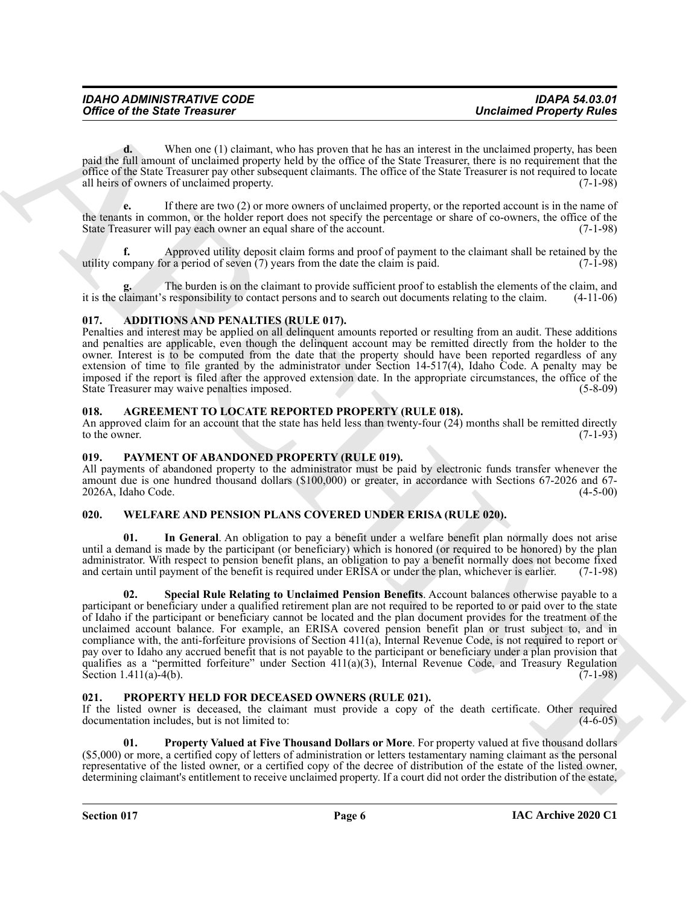**d.** When one (1) claimant, who has proven that he has an interest in the unclaimed property, has been paid the full amount of unclaimed property held by the office of the State Treasurer, there is no requirement that the office of the State Treasurer pay other subsequent claimants. The office of the State Treasurer is not required to locate all heirs of owners of unclaimed property. (7-1-98)

**e.** If there are two (2) or more owners of unclaimed property, or the reported account is in the name of the tenants in common, or the holder report does not specify the percentage or share of co-owners, the office of the State Treasurer will pay each owner an equal share of the account. (7-1-98)

**f.** Approved utility deposit claim forms and proof of payment to the claimant shall be retained by the my for a period of seven (7) years from the date the claim is paid. (7-1-98) utility company for a period of seven  $(7)$  years from the date the claim is paid.

**g.** The burden is on the claimant to provide sufficient proof to establish the elements of the claim, and it is the claimant's responsibility to contact persons and to search out documents relating to the claim. (4-11-06)

#### <span id="page-5-5"></span><span id="page-5-0"></span>**017. ADDITIONS AND PENALTIES (RULE 017).**

Penalties and interest may be applied on all delinquent amounts reported or resulting from an audit. These additions and penalties are applicable, even though the delinquent account may be remitted directly from the holder to the owner. Interest is to be computed from the date that the property should have been reported regardless of any extension of time to file granted by the administrator under Section 14-517(4), Idaho Code. A penalty may be imposed if the report is filed after the approved extension date. In the appropriate circumstances, the office of the State Treasurer may waive penalties imposed. (5-8-09) State Treasurer may waive penalties imposed.

#### <span id="page-5-6"></span><span id="page-5-1"></span>**018. AGREEMENT TO LOCATE REPORTED PROPERTY (RULE 018).**

An approved claim for an account that the state has held less than twenty-four (24) months shall be remitted directly to the owner.  $(7-1-93)$ 

#### <span id="page-5-7"></span><span id="page-5-2"></span>**019. PAYMENT OF ABANDONED PROPERTY (RULE 019).**

All payments of abandoned property to the administrator must be paid by electronic funds transfer whenever the amount due is one hundred thousand dollars (\$100,000) or greater, in accordance with Sections 67-2026 and 67- 2026A, Idaho Code.

#### <span id="page-5-10"></span><span id="page-5-3"></span>**020. WELFARE AND PENSION PLANS COVERED UNDER ERISA (RULE 020).**

<span id="page-5-12"></span><span id="page-5-11"></span>**01. In General**. An obligation to pay a benefit under a welfare benefit plan normally does not arise until a demand is made by the participant (or beneficiary) which is honored (or required to be honored) by the plan administrator. With respect to pension benefit plans, an obligation to pay a benefit normally does not become fixed and certain until payment of the benefit is required under ERISA or under the plan, whichever is earlier. (7-1-98)

Office of the Sinke Treasurer<br>
The charge of Urbanism speller proves flat is has at the state of the state of the state<br>
relation to the charge of Urbanism speller and the state of the state of the state of the state of t **02. Special Rule Relating to Unclaimed Pension Benefits**. Account balances otherwise payable to a participant or beneficiary under a qualified retirement plan are not required to be reported to or paid over to the state of Idaho if the participant or beneficiary cannot be located and the plan document provides for the treatment of the unclaimed account balance. For example, an ERISA covered pension benefit plan or trust subject to, and in compliance with, the anti-forfeiture provisions of Section 411(a), Internal Revenue Code, is not required to report or pay over to Idaho any accrued benefit that is not payable to the participant or beneficiary under a plan provision that qualifies as a "permitted forfeiture" under Section 411(a)(3), Internal Revenue Code, and Treasury Regulation Section 1.411(a)-4(b).  $(7-1-98)$ 

#### <span id="page-5-8"></span><span id="page-5-4"></span>**021. PROPERTY HELD FOR DECEASED OWNERS (RULE 021).**

If the listed owner is deceased, the claimant must provide a copy of the death certificate. Other required documentation includes, but is not limited to: (4-6-05)

<span id="page-5-9"></span>**01. Property Valued at Five Thousand Dollars or More**. For property valued at five thousand dollars (\$5,000) or more, a certified copy of letters of administration or letters testamentary naming claimant as the personal representative of the listed owner, or a certified copy of the decree of distribution of the estate of the listed owner, determining claimant's entitlement to receive unclaimed property. If a court did not order the distribution of the estate,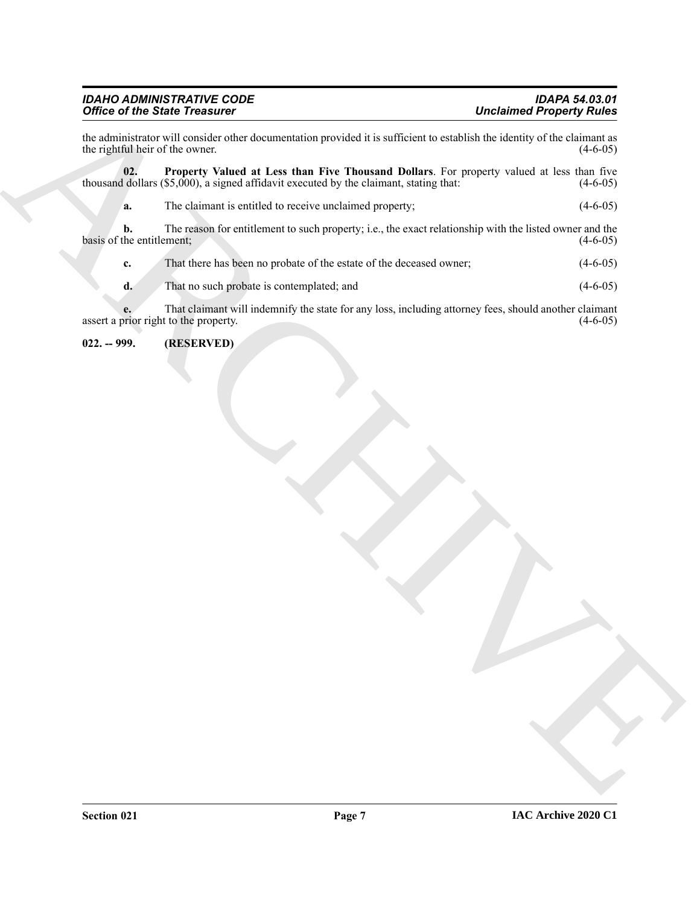## *IDAHO ADMINISTRATIVE CODE IDAPA 54.03.01*

<span id="page-6-1"></span>the administrator will consider other documentation provided it is sufficient to establish the identity of the claimant as the rightful heir of the owner. (4-6-05) the rightful heir of the owner.

Office of the State Yearnester<br>
the maintained Property Model and Journal of the provided is a subjected to solve the state of the change of<br>
the replaced behavior of the change of the change of the change of<br>
the change **02. Property Valued at Less than Five Thousand Dollars**. For property valued at less than five thousand dollars  $(\$5,000)$ , a signed affidavit executed by the claimant, stating that:  $(4-6-05)$ **a.** The claimant is entitled to receive unclaimed property; (4-6-05) **b.** The reason for entitlement to such property; i.e., the exact relationship with the listed owner and the basis of the entitlement; (4-6-05) **c.** That there has been no probate of the estate of the deceased owner; (4-6-05) **d.** That no such probate is contemplated; and (4-6-05)

**e.** That claimant will indemnify the state for any loss, including attorney fees, should another claimant orior right to the property. (4-6-05) assert a prior right to the property.

<span id="page-6-0"></span>**022. -- 999. (RESERVED)**